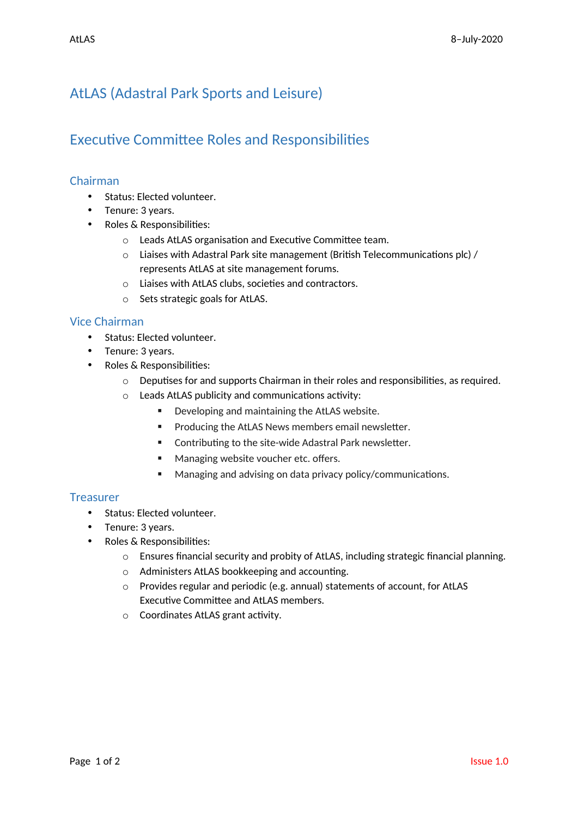# AtLAS (Adastral Park Sports and Leisure)

## Executive Committee Roles and Responsibilities

### Chairman

- Status: Elected volunteer.
- Tenure: 3 years.
- Roles & Responsibilities:
	- o Leads AtLAS organisation and Executive Committee team.
	- o Liaises with Adastral Park site management (British Telecommunications plc) / represents AtLAS at site management forums.
	- o Liaises with AtLAS clubs, societies and contractors.
	- o Sets strategic goals for AtLAS.

#### Vice Chairman

- Status: Elected volunteer.
- Tenure: 3 years.
- Roles & Responsibilities:
	- $\circ$  Deputises for and supports Chairman in their roles and responsibilities, as required.
	- o Leads AtLAS publicity and communications activity:
		- Developing and maintaining the AtLAS website.
		- **Producing the AtLAS News members email newsletter.**
		- Contributing to the site-wide Adastral Park newsletter.
		- **Managing website voucher etc. offers.**
		- Managing and advising on data privacy policy/communications.

#### **Treasurer**

- Status: Elected volunteer.
- Tenure: 3 years.
- Roles & Responsibilities:
	- o Ensures financial security and probity of AtLAS, including strategic financial planning.
	- o Administers AtLAS bookkeeping and accounting.
	- o Provides regular and periodic (e.g. annual) statements of account, for AtLAS Executive Committee and AtLAS members.
	- o Coordinates AtLAS grant activity.